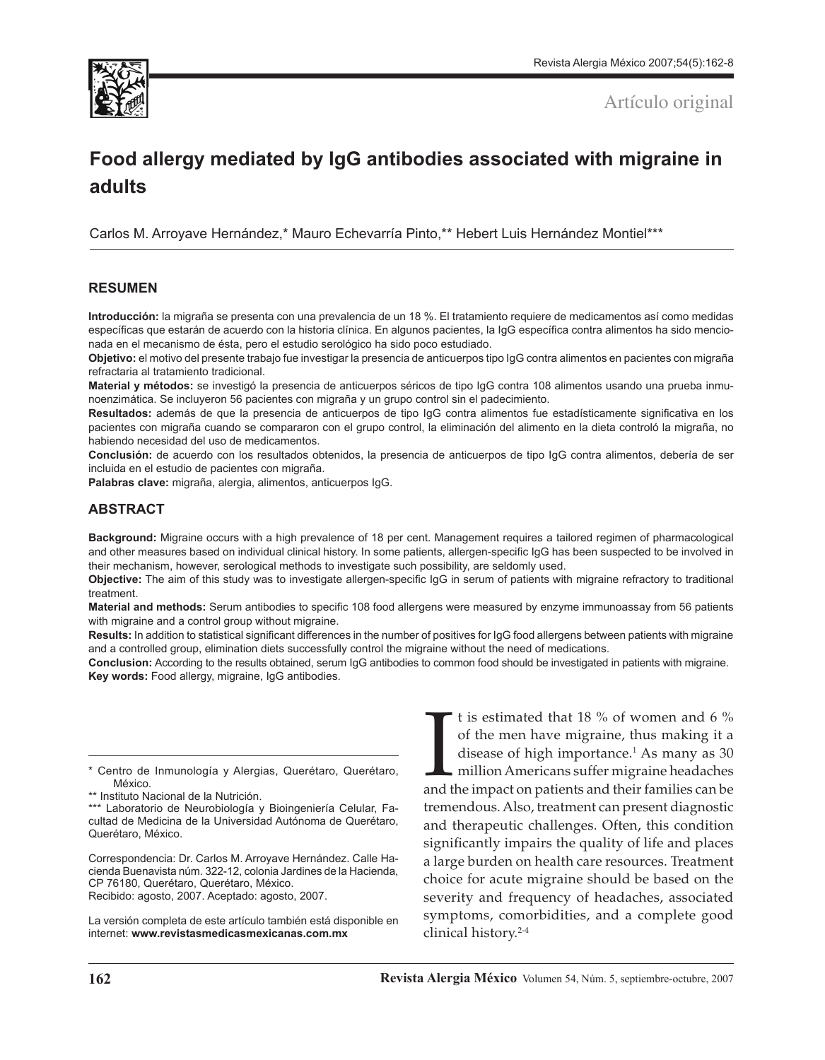

Artículo original

# **Food allergy mediated by IgG antibodies associated with migraine in adults**

Carlos M. Arroyave Hernández,\* Mauro Echevarría Pinto,\*\* Hebert Luis Hernández Montiel\*\*\*

## **RESUMEN**

**Introducción:** la migraña se presenta con una prevalencia de un 18 %. El tratamiento requiere de medicamentos así como medidas específicas que estarán de acuerdo con la historia clínica. En algunos pacientes, la IgG específica contra alimentos ha sido mencionada en el mecanismo de ésta, pero el estudio serológico ha sido poco estudiado.

**Objetivo:** el motivo del presente trabajo fue investigar la presencia de anticuerpos tipo IgG contra alimentos en pacientes con migraña refractaria al tratamiento tradicional.

**Material y métodos:** se investigó la presencia de anticuerpos séricos de tipo IgG contra 108 alimentos usando una prueba inmunoenzimática. Se incluyeron 56 pacientes con migraña y un grupo control sin el padecimiento.

**Resultados:** además de que la presencia de anticuerpos de tipo IgG contra alimentos fue estadísticamente significativa en los pacientes con migraña cuando se compararon con el grupo control, la eliminación del alimento en la dieta controló la migraña, no habiendo necesidad del uso de medicamentos.

**Conclusión:** de acuerdo con los resultados obtenidos, la presencia de anticuerpos de tipo IgG contra alimentos, debería de ser incluida en el estudio de pacientes con migraña.

**Palabras clave:** migraña, alergia, alimentos, anticuerpos IgG.

## **ABSTRACT**

**Background:** Migraine occurs with a high prevalence of 18 per cent. Management requires a tailored regimen of pharmacological and other measures based on individual clinical history. In some patients, allergen-specific IgG has been suspected to be involved in their mechanism, however, serological methods to investigate such possibility, are seldomly used.

**Objective:** The aim of this study was to investigate allergen-specific IgG in serum of patients with migraine refractory to traditional treatment.

**Material and methods:** Serum antibodies to specific 108 food allergens were measured by enzyme immunoassay from 56 patients with migraine and a control group without migraine.

**Results:** In addition to statistical significant differences in the number of positives for IgG food allergens between patients with migraine and a controlled group, elimination diets successfully control the migraine without the need of medications.

**Conclusion:** According to the results obtained, serum IgG antibodies to common food should be investigated in patients with migraine. **Key words:** Food allergy, migraine, IgG antibodies.

\* Centro de Inmunología y Alergias, Querétaro, Querétaro, México.

\*\*\* Laboratorio de Neurobiología y Bioingeniería Celular, Facultad de Medicina de la Universidad Autónoma de Querétaro, Querétaro, México.

Correspondencia: Dr. Carlos M. Arroyave Hernández. Calle Hacienda Buenavista núm. 322-12, colonia Jardines de la Hacienda, CP 76180, Querétaro, Querétaro, México. Recibido: agosto, 2007. Aceptado: agosto, 2007.

La versión completa de este artículo también está disponible en internet: **www.revistasmedicasmexicanas.com.mx**

It is estimated that 18 % of women and 6 % of the men have migraine, thus making it a disease of high importance.<sup>1</sup> As many as 30 million Americans suffer migraine headaches and the impact on patients and their families c t is estimated that 18 % of women and 6 % of the men have migraine, thus making it a disease of high importance. $<sup>1</sup>$  As many as 30</sup> million Americans suffer migraine headaches tremendous. Also, treatment can present diagnostic and therapeutic challenges. Often, this condition significantly impairs the quality of life and places a large burden on health care resources. Treatment choice for acute migraine should be based on the severity and frequency of headaches, associated symptoms, comorbidities, and a complete good clinical history.2-4

<sup>\*\*</sup> Instituto Nacional de la Nutrición.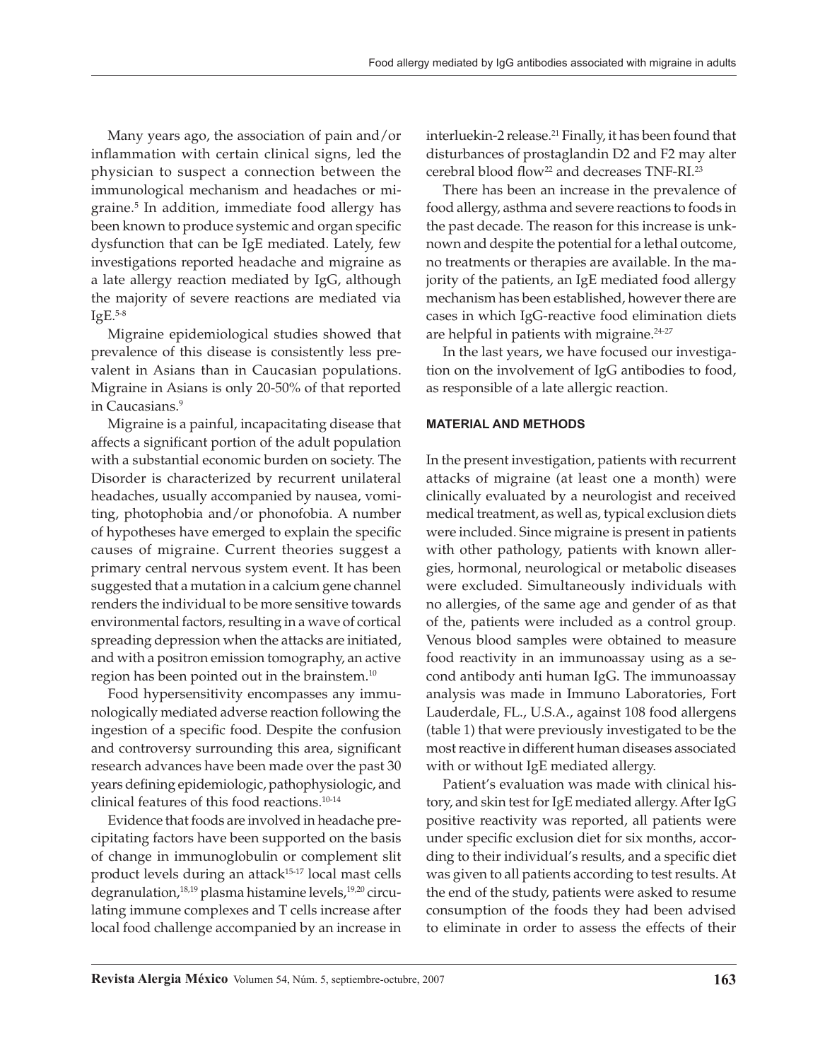Many years ago, the association of pain and/or inflammation with certain clinical signs, led the physician to suspect a connection between the immunological mechanism and headaches or migraine.5 In addition, immediate food allergy has been known to produce systemic and organ specific dysfunction that can be IgE mediated. Lately, few investigations reported headache and migraine as a late allergy reaction mediated by IgG, although the majority of severe reactions are mediated via  $IgE.<sup>5-8</sup>$ 

Migraine epidemiological studies showed that prevalence of this disease is consistently less prevalent in Asians than in Caucasian populations. Migraine in Asians is only 20-50% of that reported in Caucasians.<sup>9</sup>

Migraine is a painful, incapacitating disease that affects a significant portion of the adult population with a substantial economic burden on society. The Disorder is characterized by recurrent unilateral headaches, usually accompanied by nausea, vomiting, photophobia and/or phonofobia. A number of hypotheses have emerged to explain the specific causes of migraine. Current theories suggest a primary central nervous system event. It has been suggested that a mutation in a calcium gene channel renders the individual to be more sensitive towards environmental factors, resulting in a wave of cortical spreading depression when the attacks are initiated, and with a positron emission tomography, an active region has been pointed out in the brainstem.10

Food hypersensitivity encompasses any immunologically mediated adverse reaction following the ingestion of a specific food. Despite the confusion and controversy surrounding this area, significant research advances have been made over the past 30 years defining epidemiologic, pathophysiologic, and clinical features of this food reactions.10-14

Evidence that foods are involved in headache precipitating factors have been supported on the basis of change in immunoglobulin or complement slit product levels during an attack<sup>15-17</sup> local mast cells degranulation,<sup>18,19</sup> plasma histamine levels,<sup>19,20</sup> circulating immune complexes and T cells increase after local food challenge accompanied by an increase in

interluekin-2 release.<sup>21</sup> Finally, it has been found that disturbances of prostaglandin D2 and F2 may alter cerebral blood flow<sup>22</sup> and decreases TNF-RI.<sup>23</sup>

There has been an increase in the prevalence of food allergy, asthma and severe reactions to foods in the past decade. The reason for this increase is unknown and despite the potential for a lethal outcome, no treatments or therapies are available. In the majority of the patients, an IgE mediated food allergy mechanism has been established, however there are cases in which IgG-reactive food elimination diets are helpful in patients with migraine.<sup>24-27</sup>

In the last years, we have focused our investigation on the involvement of IgG antibodies to food, as responsible of a late allergic reaction.

## **MATERIAL AND METHODS**

In the present investigation, patients with recurrent attacks of migraine (at least one a month) were clinically evaluated by a neurologist and received medical treatment, as well as, typical exclusion diets were included. Since migraine is present in patients with other pathology, patients with known allergies, hormonal, neurological or metabolic diseases were excluded. Simultaneously individuals with no allergies, of the same age and gender of as that of the, patients were included as a control group. Venous blood samples were obtained to measure food reactivity in an immunoassay using as a second antibody anti human IgG. The immunoassay analysis was made in Immuno Laboratories, Fort Lauderdale, FL., U.S.A., against 108 food allergens (table 1) that were previously investigated to be the most reactive in different human diseases associated with or without IgE mediated allergy.

Patient's evaluation was made with clinical history, and skin test for IgE mediated allergy. After IgG positive reactivity was reported, all patients were under specific exclusion diet for six months, according to their individual's results, and a specific diet was given to all patients according to test results. At the end of the study, patients were asked to resume consumption of the foods they had been advised to eliminate in order to assess the effects of their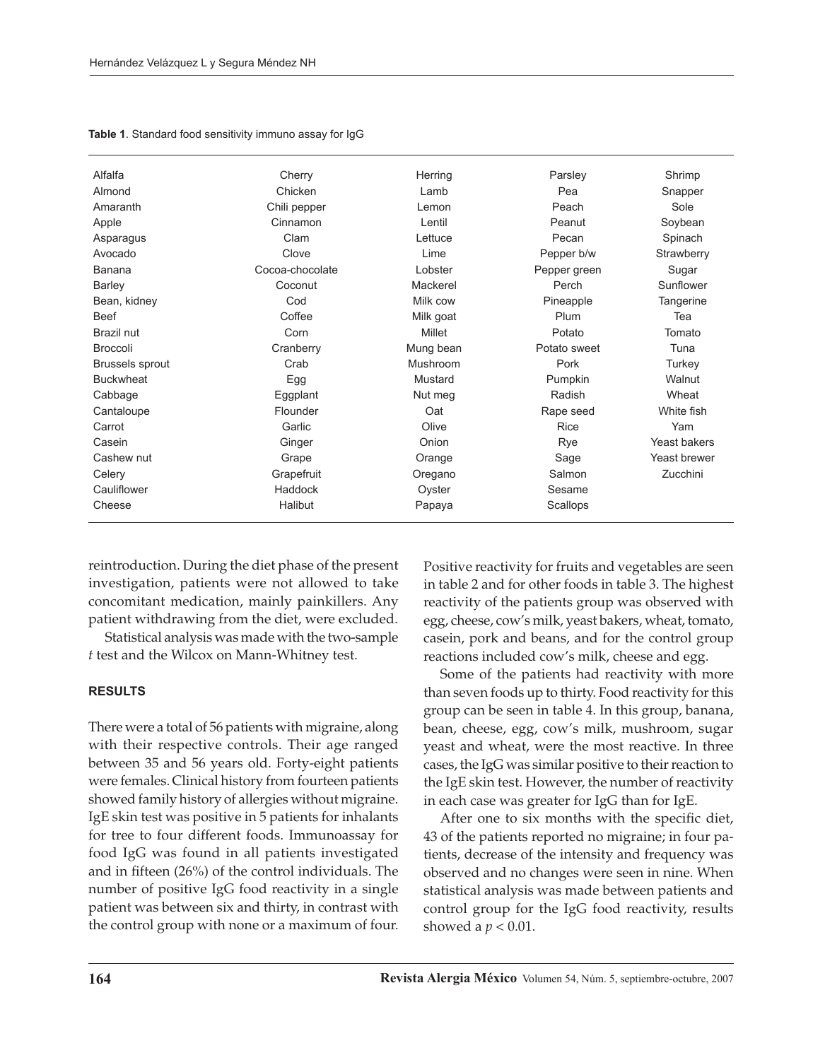| Alfalfa                | Cherry          | Herring   | Parsley      | Shrimp              |  |
|------------------------|-----------------|-----------|--------------|---------------------|--|
| Almond                 | Chicken         | Lamb      | Pea          | Snapper             |  |
| Amaranth               | Chili pepper    | Lemon     | Peach        | Sole                |  |
| Apple                  | Cinnamon        | Lentil    | Peanut       | Soybean             |  |
| Asparagus              | Clam            | Lettuce   | Pecan        | Spinach             |  |
| Avocado                | Clove           | Lime      | Pepper b/w   | Strawberry          |  |
| Banana                 | Cocoa-chocolate | Lobster   | Pepper green | Sugar               |  |
| Barley                 | Coconut         | Mackerel  | Perch        | Sunflower           |  |
| Bean, kidney           | Cod             | Milk cow  | Pineapple    | Tangerine           |  |
| <b>Beef</b>            | Coffee          | Milk goat | Plum         | Tea                 |  |
| Brazil nut             | Corn            | Millet    | Potato       | Tomato              |  |
| Broccoli               | Cranberry       | Mung bean | Potato sweet | Tuna                |  |
| <b>Brussels sprout</b> | Crab            | Mushroom  | Pork         | Turkey              |  |
| <b>Buckwheat</b>       | Egg             | Mustard   | Pumpkin      | Walnut              |  |
| Cabbage                | Eggplant        | Nut meg   | Radish       | Wheat               |  |
| Cantaloupe             | Flounder        | Oat       | Rape seed    | White fish          |  |
| Carrot                 | Garlic          | Olive     | Rice         | Yam                 |  |
| Casein                 | Ginger          | Onion     | Rye          | <b>Yeast bakers</b> |  |
| Cashew nut             | Grape           | Orange    | Sage         | Yeast brewer        |  |
| Celery                 | Grapefruit      | Oregano   | Salmon       | Zucchini            |  |
| Cauliflower            | Haddock         | Oyster    | Sesame       |                     |  |
| Cheese                 | Halibut         | Papaya    | Scallops     |                     |  |

**Table 1**. Standard food sensitivity immuno assay for IgG

reintroduction. During the diet phase of the present investigation, patients were not allowed to take concomitant medication, mainly painkillers. Any patient withdrawing from the diet, were excluded.

Statistical analysis was made with the two-sample *t* test and the Wilcox on Mann-Whitney test.

#### **RESULTS**

There were a total of 56 patients with migraine, along with their respective controls. Their age ranged between 35 and 56 years old. Forty-eight patients were females. Clinical history from fourteen patients showed family history of allergies without migraine. IgE skin test was positive in 5 patients for inhalants for tree to four different foods. Immunoassay for food IgG was found in all patients investigated and in fifteen (26%) of the control individuals. The number of positive IgG food reactivity in a single patient was between six and thirty, in contrast with the control group with none or a maximum of four. Positive reactivity for fruits and vegetables are seen in table 2 and for other foods in table 3. The highest reactivity of the patients group was observed with egg, cheese, cow's milk, yeast bakers, wheat, tomato, casein, pork and beans, and for the control group reactions included cow's milk, cheese and egg.

Some of the patients had reactivity with more than seven foods up to thirty. Food reactivity for this group can be seen in table 4. In this group, banana, bean, cheese, egg, cow's milk, mushroom, sugar yeast and wheat, were the most reactive. In three cases, the IgG was similar positive to their reaction to the IgE skin test. However, the number of reactivity in each case was greater for IgG than for IgE.

After one to six months with the specific diet, 43 of the patients reported no migraine; in four patients, decrease of the intensity and frequency was observed and no changes were seen in nine. When statistical analysis was made between patients and control group for the IgG food reactivity, results showed a  $p < 0.01$ .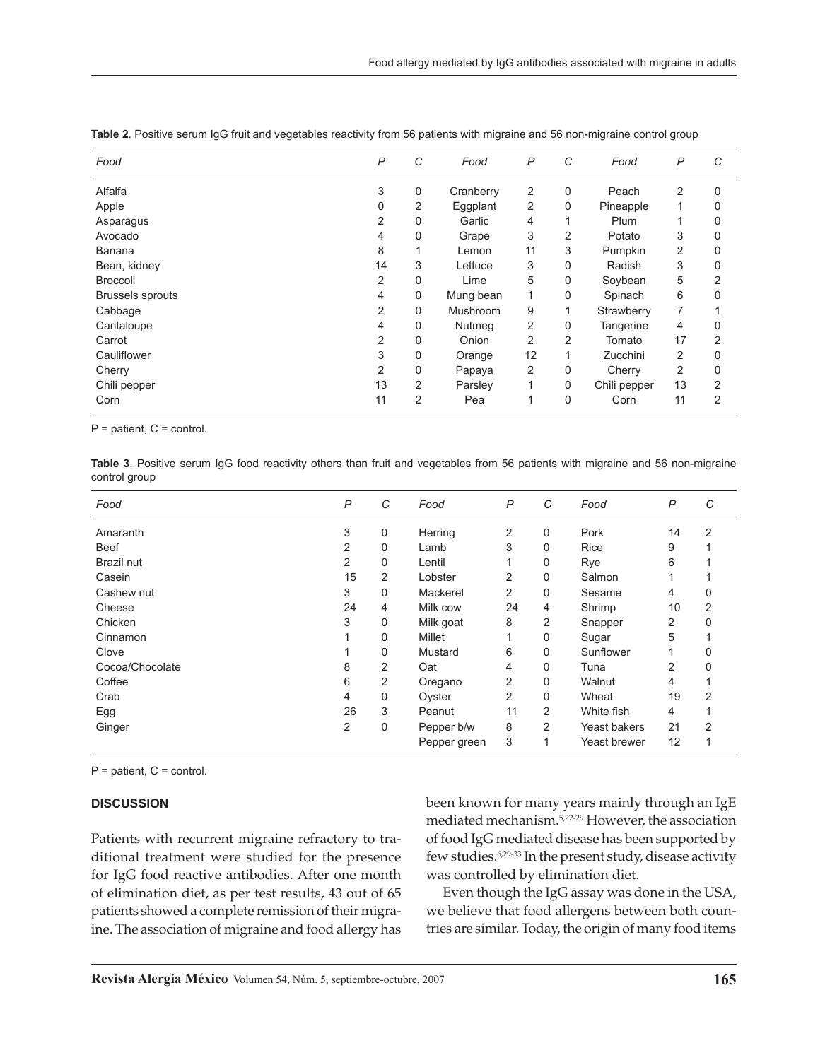| P              | С | Food      | $\overline{P}$ | C              | Food         | $\overline{P}$ | С        |
|----------------|---|-----------|----------------|----------------|--------------|----------------|----------|
| 3              | 0 | Cranberry | 2              | $\mathbf 0$    | Peach        | $\overline{2}$ | 0        |
| 0              | 2 | Eggplant  | 2              | 0              | Pineapple    |                | 0        |
| $\overline{2}$ | 0 | Garlic    | 4              |                | Plum         |                | 0        |
| 4              | 0 | Grape     | 3              | 2              | Potato       | 3              | 0        |
| 8              |   | Lemon     | 11             | 3              | Pumpkin      | 2              | 0        |
| 14             | 3 | Lettuce   | 3              | $\mathbf{0}$   | Radish       | 3              | 0        |
| 2              | 0 | Lime      | 5              | $\mathbf 0$    | Soybean      | 5              | 2        |
| 4              | 0 | Mung bean |                | 0              | Spinach      | 6              | 0        |
| 2              | 0 | Mushroom  | 9              |                | Strawberry   | 7              |          |
| 4              | 0 | Nutmeg    | 2              | 0              | Tangerine    | 4              | 0        |
| 2              | 0 | Onion     | 2              | $\overline{2}$ | Tomato       | 17             | 2        |
| 3              | 0 | Orange    | 12             |                | Zucchini     | 2              | $\Omega$ |
| 2              | 0 |           | 2              | $\mathbf{0}$   | Cherry       | 2              | $\Omega$ |
| 13             | 2 | Parsley   |                | $\Omega$       | Chili pepper | 13             | 2        |
| 11             | 2 | Pea       |                | $\mathbf{0}$   | Corn         | 11             | 2        |
|                |   |           | Papaya         |                |              |                |          |

**Table 2**. Positive serum IgG fruit and vegetables reactivity from 56 patients with migraine and 56 non-migraine control group

 $P =$  patient,  $C =$  control.

**Table 3**. Positive serum IgG food reactivity others than fruit and vegetables from 56 patients with migraine and 56 non-migraine control group

| Food            | P  | C | Food         | $\mathsf{P}$ | C              | Food         | $\mathsf{P}$   | C              |
|-----------------|----|---|--------------|--------------|----------------|--------------|----------------|----------------|
| Amaranth        | 3  | 0 | Herring      | 2            | 0              | Pork         | 14             | $\overline{2}$ |
| Beef            | 2  | 0 | Lamb         | 3            | 0              | <b>Rice</b>  | 9              |                |
| Brazil nut      | 2  | 0 | Lentil       |              | 0              | Rye          | 6              |                |
| Casein          | 15 | 2 | Lobster      | 2            | 0              | Salmon       |                |                |
| Cashew nut      | 3  | 0 | Mackerel     | 2            | 0              | Sesame       | 4              | 0              |
| Cheese          | 24 | 4 | Milk cow     | 24           | 4              | Shrimp       | 10             | 2              |
| Chicken         | 3  | 0 | Milk goat    | 8            | $\overline{2}$ | Snapper      | 2              | U              |
| Cinnamon        |    | 0 | Millet       |              | 0              | Sugar        | 5              |                |
| Clove           |    | 0 | Mustard      | 6            | 0              | Sunflower    |                |                |
| Cocoa/Chocolate | 8  | 2 | Oat          | 4            | 0              | Tuna         | $\overline{2}$ |                |
| Coffee          | 6  | 2 | Oregano      | 2            | 0              | Walnut       | 4              |                |
| Crab            | 4  | 0 | Oyster       | 2            | 0              | Wheat        | 19             | 2              |
| Egg             | 26 | 3 | Peanut       | 11           | 2              | White fish   | 4              |                |
| Ginger          | 2  | 0 | Pepper b/w   | 8            | $\overline{2}$ | Yeast bakers | 21             | 2              |
|                 |    |   | Pepper green | 3            | 1              | Yeast brewer | 12             |                |
|                 |    |   |              |              |                |              |                |                |

 $P =$  patient,  $C =$  control.

#### **DISCUSSION**

Patients with recurrent migraine refractory to traditional treatment were studied for the presence for IgG food reactive antibodies. After one month of elimination diet, as per test results, 43 out of 65 patients showed a complete remission of their migraine. The association of migraine and food allergy has been known for many years mainly through an IgE mediated mechanism.5,22-29 However, the association of food IgG mediated disease has been supported by few studies.6,29-33 In the present study, disease activity was controlled by elimination diet.

Even though the IgG assay was done in the USA, we believe that food allergens between both countries are similar. Today, the origin of many food items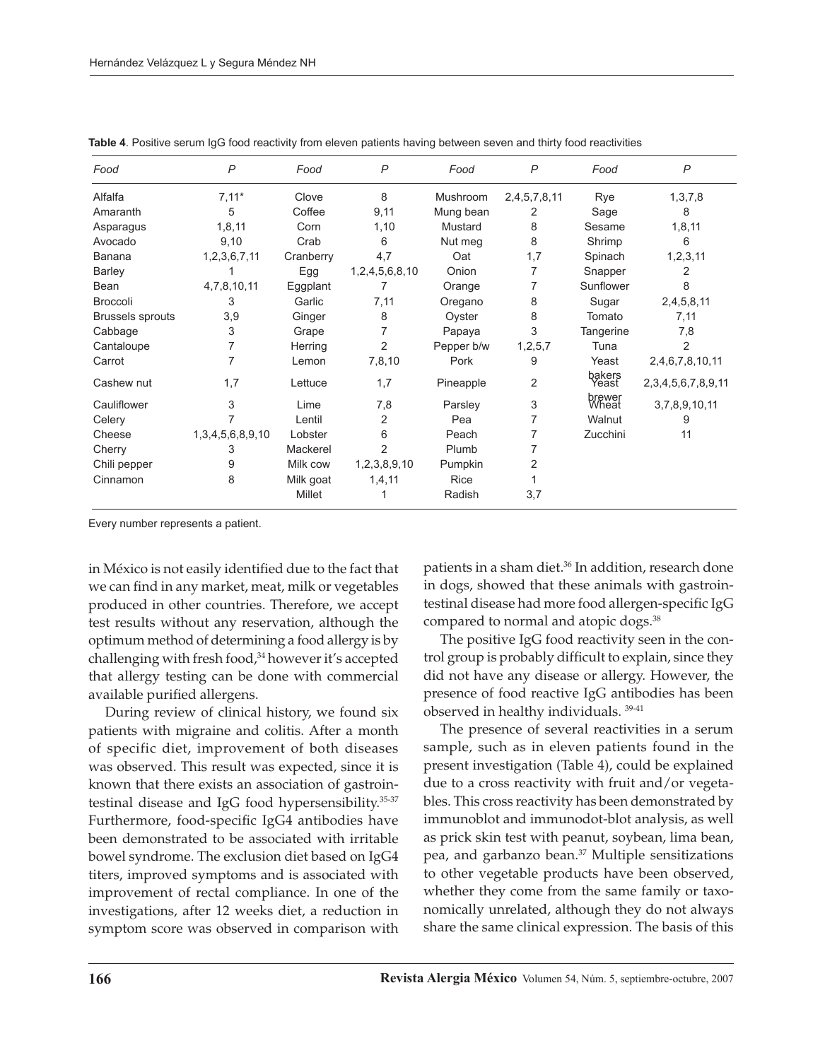| Food                    | $\overline{P}$          | Food      | $\mathsf{P}$   | Food       | $\overline{P}$ | Food            | $\overline{P}$             |
|-------------------------|-------------------------|-----------|----------------|------------|----------------|-----------------|----------------------------|
| Alfalfa                 | $7,11*$                 | Clove     | 8              | Mushroom   | 2,4,5,7,8,11   | Rye             | 1,3,7,8                    |
| Amaranth                | 5                       | Coffee    | 9,11           | Mung bean  | 2              | Sage            | 8                          |
| Asparagus               | 1,8,11                  | Corn      | 1,10           | Mustard    | 8              | Sesame          | 1,8,11                     |
| Avocado                 | 9,10                    | Crab      | 6              | Nut meg    | 8              | Shrimp          | 6                          |
| Banana                  | 1,2,3,6,7,11            | Cranberry | 4,7            | Oat        | 1,7            | Spinach         | 1, 2, 3, 11                |
| <b>Barley</b>           |                         | Egg       | 1,2,4,5,6,8,10 | Onion      | 7              | Snapper         | 2                          |
| Bean                    | 4,7,8,10,11             | Eggplant  | 7              | Orange     | 7              | Sunflower       | 8                          |
| Broccoli                | 3                       | Garlic    | 7,11           | Oregano    | 8              | Sugar           | 2,4,5,8,11                 |
| <b>Brussels sprouts</b> | 3,9                     | Ginger    | 8              | Oyster     | 8              | Tomato          | 7,11                       |
| Cabbage                 | 3                       | Grape     | 7              | Papaya     | 3              | Tangerine       | 7,8                        |
| Cantaloupe              | 7                       | Herring   | 2              | Pepper b/w | 1,2,5,7        | Tuna            | 2                          |
| Carrot                  | 7                       | Lemon     | 7,8,10         | Pork       | 9              | Yeast           | 2,4,6,7,8,10,11            |
| Cashew nut              | 1,7                     | Lettuce   | 1,7            | Pineapple  | 2              | bakers<br>Yeast | 2, 3, 4, 5, 6, 7, 8, 9, 11 |
| Cauliflower             | 3                       | Lime      | 7,8            | Parsley    | 3              | brewer<br>Wheat | 3,7,8,9,10,11              |
| Celery                  | 7                       | Lentil    | 2              | Pea        |                | Walnut          | 9                          |
| Cheese                  | 1, 3, 4, 5, 6, 8, 9, 10 | Lobster   | 6              | Peach      |                | Zucchini        | 11                         |
| Cherry                  | 3                       | Mackerel  | 2              | Plumb      |                |                 |                            |
| Chili pepper            | 9                       | Milk cow  | 1,2,3,8,9,10   | Pumpkin    | 2              |                 |                            |
| Cinnamon                | 8                       | Milk goat | 1,4,11         | Rice       |                |                 |                            |
|                         |                         | Millet    |                | Radish     | 3,7            |                 |                            |

**Table 4**. Positive serum IgG food reactivity from eleven patients having between seven and thirty food reactivities

Every number represents a patient.

in México is not easily identified due to the fact that we can find in any market, meat, milk or vegetables produced in other countries. Therefore, we accept test results without any reservation, although the optimum method of determining a food allergy is by challenging with fresh food,<sup>34</sup> however it's accepted that allergy testing can be done with commercial available purified allergens.

During review of clinical history, we found six patients with migraine and colitis. After a month of specific diet, improvement of both diseases was observed. This result was expected, since it is known that there exists an association of gastrointestinal disease and IgG food hypersensibility.35-37 Furthermore, food-specific IgG4 antibodies have been demonstrated to be associated with irritable bowel syndrome. The exclusion diet based on IgG4 titers, improved symptoms and is associated with improvement of rectal compliance. In one of the investigations, after 12 weeks diet, a reduction in symptom score was observed in comparison with

patients in a sham diet.<sup>36</sup> In addition, research done in dogs, showed that these animals with gastrointestinal disease had more food allergen-specific IgG compared to normal and atopic dogs.<sup>38</sup>

The positive IgG food reactivity seen in the control group is probably difficult to explain, since they did not have any disease or allergy. However, the presence of food reactive IgG antibodies has been observed in healthy individuals. 39-41

The presence of several reactivities in a serum sample, such as in eleven patients found in the present investigation (Table 4), could be explained due to a cross reactivity with fruit and/or vegetables. This cross reactivity has been demonstrated by immunoblot and immunodot-blot analysis, as well as prick skin test with peanut, soybean, lima bean, pea, and garbanzo bean.<sup>37</sup> Multiple sensitizations to other vegetable products have been observed, whether they come from the same family or taxonomically unrelated, although they do not always share the same clinical expression. The basis of this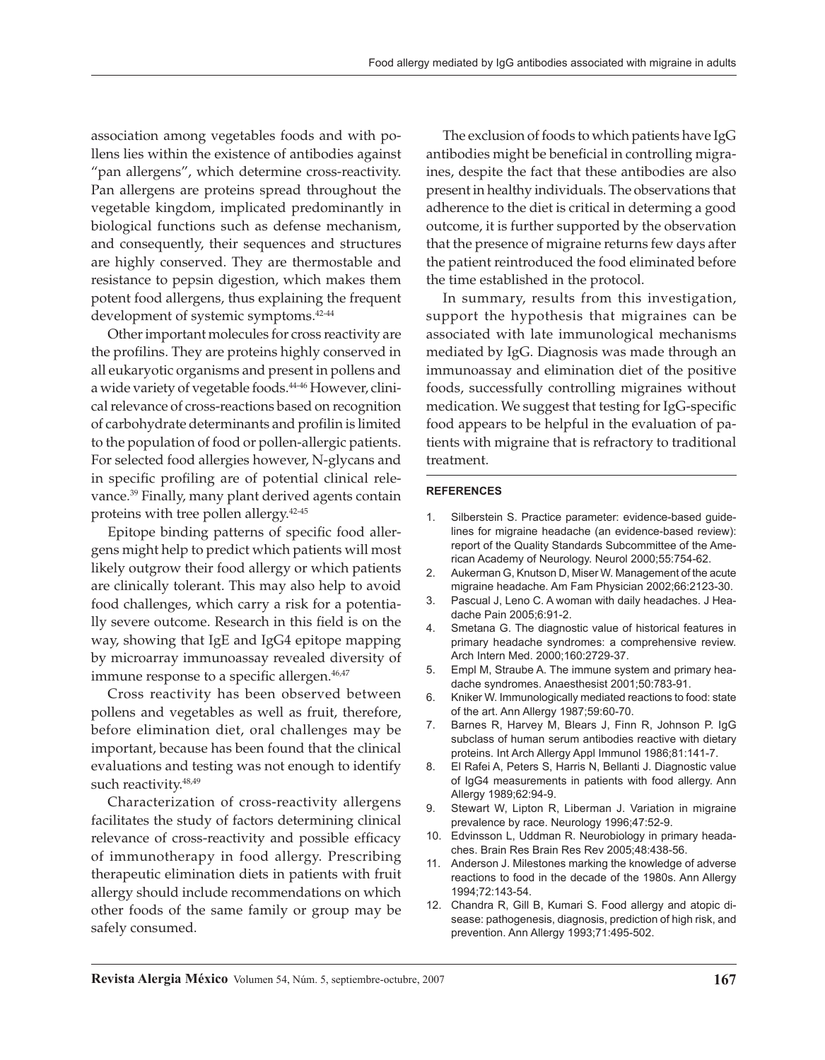association among vegetables foods and with pollens lies within the existence of antibodies against "pan allergens", which determine cross-reactivity. Pan allergens are proteins spread throughout the vegetable kingdom, implicated predominantly in biological functions such as defense mechanism, and consequently, their sequences and structures are highly conserved. They are thermostable and resistance to pepsin digestion, which makes them potent food allergens, thus explaining the frequent development of systemic symptoms.<sup>42-44</sup>

Other important molecules for cross reactivity are the profilins. They are proteins highly conserved in all eukaryotic organisms and present in pollens and a wide variety of vegetable foods.44-46 However, clinical relevance of cross-reactions based on recognition of carbohydrate determinants and profilin is limited to the population of food or pollen-allergic patients. For selected food allergies however, N-glycans and in specific profiling are of potential clinical relevance.39 Finally, many plant derived agents contain proteins with tree pollen allergy.42-45

Epitope binding patterns of specific food allergens might help to predict which patients will most likely outgrow their food allergy or which patients are clinically tolerant. This may also help to avoid food challenges, which carry a risk for a potentially severe outcome. Research in this field is on the way, showing that IgE and IgG4 epitope mapping by microarray immunoassay revealed diversity of immune response to a specific allergen.<sup>46,47</sup>

Cross reactivity has been observed between pollens and vegetables as well as fruit, therefore, before elimination diet, oral challenges may be important, because has been found that the clinical evaluations and testing was not enough to identify such reactivity.<sup>48,49</sup>

Characterization of cross-reactivity allergens facilitates the study of factors determining clinical relevance of cross-reactivity and possible efficacy of immunotherapy in food allergy. Prescribing therapeutic elimination diets in patients with fruit allergy should include recommendations on which other foods of the same family or group may be safely consumed.

The exclusion of foods to which patients have IgG antibodies might be beneficial in controlling migraines, despite the fact that these antibodies are also present in healthy individuals. The observations that adherence to the diet is critical in determing a good outcome, it is further supported by the observation that the presence of migraine returns few days after the patient reintroduced the food eliminated before the time established in the protocol.

In summary, results from this investigation, support the hypothesis that migraines can be associated with late immunological mechanisms mediated by IgG. Diagnosis was made through an immunoassay and elimination diet of the positive foods, successfully controlling migraines without medication. We suggest that testing for IgG-specific food appears to be helpful in the evaluation of patients with migraine that is refractory to traditional treatment.

### **REFERENCES**

- 1. Silberstein S. Practice parameter: evidence-based guidelines for migraine headache (an evidence-based review): report of the Quality Standards Subcommittee of the American Academy of Neurology. Neurol 2000;55:754-62.
- 2. Aukerman G, Knutson D, Miser W. Management of the acute migraine headache. Am Fam Physician 2002;66:2123-30.
- 3. Pascual J, Leno C. A woman with daily headaches. J Headache Pain 2005;6:91-2.
- 4. Smetana G. The diagnostic value of historical features in primary headache syndromes: a comprehensive review. Arch Intern Med. 2000;160:2729-37.
- 5. Empl M, Straube A. The immune system and primary headache syndromes. Anaesthesist 2001;50:783-91.
- 6. Kniker W. Immunologically mediated reactions to food: state of the art. Ann Allergy 1987;59:60-70.
- 7. Barnes R, Harvey M, Blears J, Finn R, Johnson P. IgG subclass of human serum antibodies reactive with dietary proteins. Int Arch Allergy Appl Immunol 1986;81:141-7.
- 8. El Rafei A, Peters S, Harris N, Bellanti J. Diagnostic value of IgG4 measurements in patients with food allergy. Ann Allergy 1989;62:94-9.
- 9. Stewart W, Lipton R, Liberman J. Variation in migraine prevalence by race. Neurology 1996;47:52-9.
- 10. Edvinsson L, Uddman R. Neurobiology in primary headaches. Brain Res Brain Res Rev 2005;48:438-56.
- 11. Anderson J. Milestones marking the knowledge of adverse reactions to food in the decade of the 1980s. Ann Allergy 1994;72:143-54.
- 12. Chandra R, Gill B, Kumari S. Food allergy and atopic disease: pathogenesis, diagnosis, prediction of high risk, and prevention. Ann Allergy 1993;71:495-502.